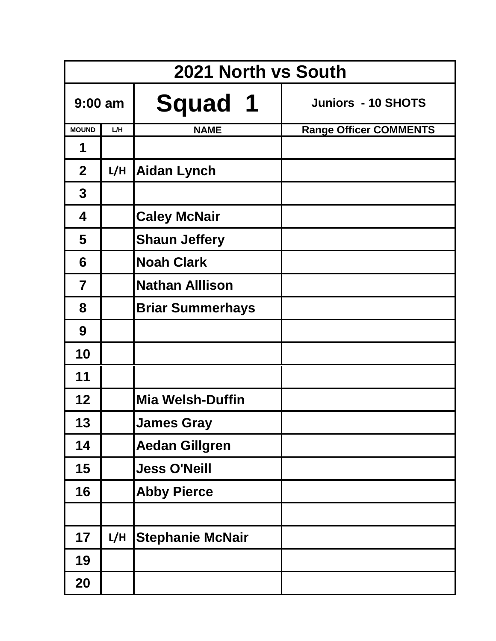|                |     | 2021 North vs South     |                               |
|----------------|-----|-------------------------|-------------------------------|
| $9:00$ am      |     | <b>Squad 1</b>          | <b>Juniors - 10 SHOTS</b>     |
| <b>MOUND</b>   | L/H | <b>NAME</b>             | <b>Range Officer COMMENTS</b> |
| 1              |     |                         |                               |
| $\overline{2}$ | L/H | <b>Aidan Lynch</b>      |                               |
| $\mathbf 3$    |     |                         |                               |
| 4              |     | <b>Caley McNair</b>     |                               |
| 5              |     | <b>Shaun Jeffery</b>    |                               |
| 6              |     | <b>Noah Clark</b>       |                               |
| $\overline{7}$ |     | <b>Nathan Alllison</b>  |                               |
| 8              |     | <b>Briar Summerhays</b> |                               |
| 9              |     |                         |                               |
| 10             |     |                         |                               |
| 11             |     |                         |                               |
| 12             |     | <b>Mia Welsh-Duffin</b> |                               |
| 13             |     | <b>James Gray</b>       |                               |
| 14             |     | <b>Aedan Gillgren</b>   |                               |
| 15             |     | <b>Jess O'Neill</b>     |                               |
| 16             |     | <b>Abby Pierce</b>      |                               |
|                |     |                         |                               |
| 17             | L/H | <b>Stephanie McNair</b> |                               |
| 19             |     |                         |                               |
| 20             |     |                         |                               |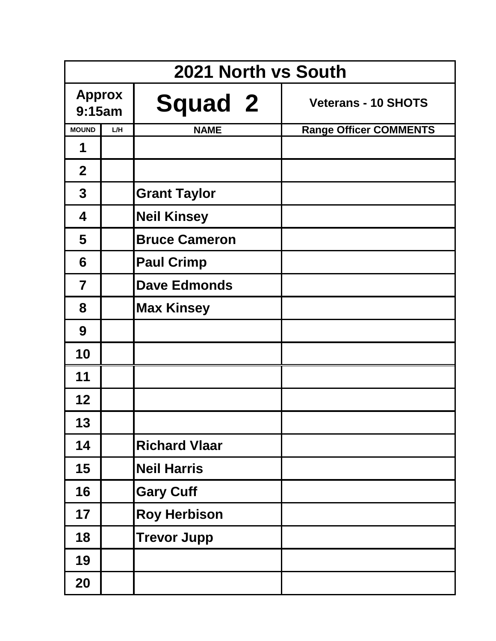|                         | 2021 North vs South |                      |                               |  |  |
|-------------------------|---------------------|----------------------|-------------------------------|--|--|
| <b>Approx</b><br>9:15am |                     | <b>Squad 2</b>       | <b>Veterans - 10 SHOTS</b>    |  |  |
| <b>MOUND</b>            | L/H                 | <b>NAME</b>          | <b>Range Officer COMMENTS</b> |  |  |
| 1                       |                     |                      |                               |  |  |
| $\overline{2}$          |                     |                      |                               |  |  |
| $\mathbf 3$             |                     | <b>Grant Taylor</b>  |                               |  |  |
| 4                       |                     | <b>Neil Kinsey</b>   |                               |  |  |
| 5                       |                     | <b>Bruce Cameron</b> |                               |  |  |
| 6                       |                     | <b>Paul Crimp</b>    |                               |  |  |
| $\overline{7}$          |                     | <b>Dave Edmonds</b>  |                               |  |  |
| 8                       |                     | <b>Max Kinsey</b>    |                               |  |  |
| 9                       |                     |                      |                               |  |  |
| 10                      |                     |                      |                               |  |  |
| 11                      |                     |                      |                               |  |  |
| 12                      |                     |                      |                               |  |  |
| 13                      |                     |                      |                               |  |  |
| 14                      |                     | <b>Richard Vlaar</b> |                               |  |  |
| 15                      |                     | <b>Neil Harris</b>   |                               |  |  |
| 16                      |                     | <b>Gary Cuff</b>     |                               |  |  |
| 17                      |                     | <b>Roy Herbison</b>  |                               |  |  |
| 18                      |                     | <b>Trevor Jupp</b>   |                               |  |  |
| 19                      |                     |                      |                               |  |  |
| 20                      |                     |                      |                               |  |  |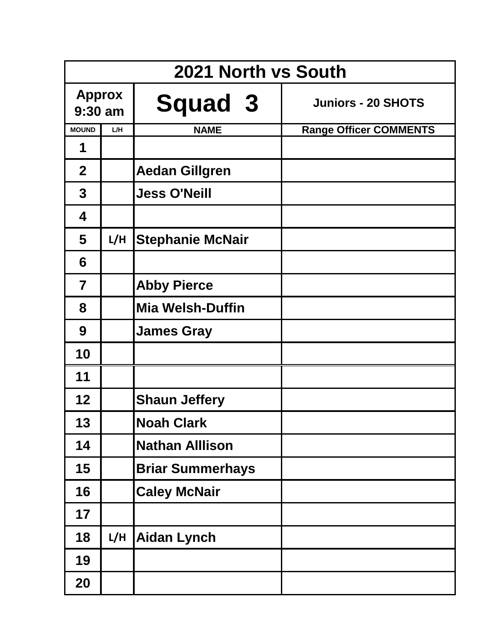|                            | 2021 North vs South |                         |                               |  |  |
|----------------------------|---------------------|-------------------------|-------------------------------|--|--|
| <b>Approx</b><br>$9:30$ am |                     | <b>Squad 3</b>          | <b>Juniors - 20 SHOTS</b>     |  |  |
| <b>MOUND</b>               | L/H                 | <b>NAME</b>             | <b>Range Officer COMMENTS</b> |  |  |
| 1                          |                     |                         |                               |  |  |
| $\overline{2}$             |                     | <b>Aedan Gillgren</b>   |                               |  |  |
| $\mathbf{3}$               |                     | <b>Jess O'Neill</b>     |                               |  |  |
| 4                          |                     |                         |                               |  |  |
| 5                          | L/H                 | <b>Stephanie McNair</b> |                               |  |  |
| 6                          |                     |                         |                               |  |  |
| $\overline{\mathbf{7}}$    |                     | <b>Abby Pierce</b>      |                               |  |  |
| 8                          |                     | <b>Mia Welsh-Duffin</b> |                               |  |  |
| 9                          |                     | <b>James Gray</b>       |                               |  |  |
| 10                         |                     |                         |                               |  |  |
| 11                         |                     |                         |                               |  |  |
| 12                         |                     | <b>Shaun Jeffery</b>    |                               |  |  |
| 13                         |                     | <b>Noah Clark</b>       |                               |  |  |
| 14                         |                     | <b>Nathan Alllison</b>  |                               |  |  |
| 15                         |                     | <b>Briar Summerhays</b> |                               |  |  |
| 16                         |                     | <b>Caley McNair</b>     |                               |  |  |
| 17                         |                     |                         |                               |  |  |
| 18                         | L/H                 | <b>Aidan Lynch</b>      |                               |  |  |
| 19                         |                     |                         |                               |  |  |
| 20                         |                     |                         |                               |  |  |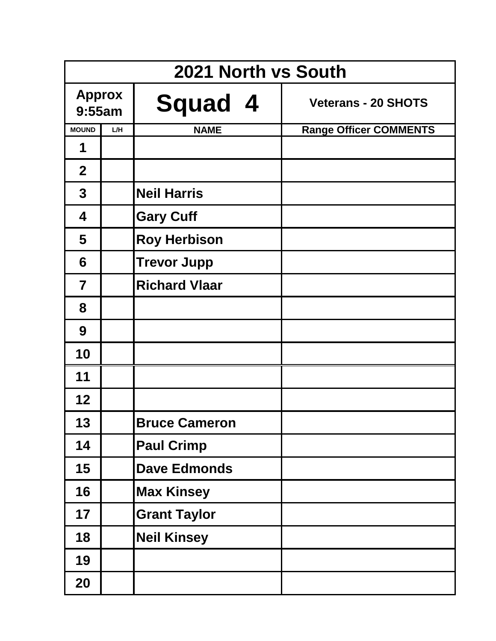|                         | 2021 North vs South |                      |                               |  |  |  |
|-------------------------|---------------------|----------------------|-------------------------------|--|--|--|
| <b>Approx</b><br>9:55am |                     | <b>Squad 4</b>       | <b>Veterans - 20 SHOTS</b>    |  |  |  |
| <b>MOUND</b>            | L/H                 | <b>NAME</b>          | <b>Range Officer COMMENTS</b> |  |  |  |
| 1                       |                     |                      |                               |  |  |  |
| $\overline{2}$          |                     |                      |                               |  |  |  |
| $\mathbf{3}$            |                     | <b>Neil Harris</b>   |                               |  |  |  |
| 4                       |                     | <b>Gary Cuff</b>     |                               |  |  |  |
| 5                       |                     | <b>Roy Herbison</b>  |                               |  |  |  |
| 6                       |                     | <b>Trevor Jupp</b>   |                               |  |  |  |
| $\overline{7}$          |                     | <b>Richard Vlaar</b> |                               |  |  |  |
| 8                       |                     |                      |                               |  |  |  |
| 9                       |                     |                      |                               |  |  |  |
| 10                      |                     |                      |                               |  |  |  |
| 11                      |                     |                      |                               |  |  |  |
| 12                      |                     |                      |                               |  |  |  |
| 13                      |                     | <b>Bruce Cameron</b> |                               |  |  |  |
| 14                      |                     | <b>Paul Crimp</b>    |                               |  |  |  |
| 15                      |                     | <b>Dave Edmonds</b>  |                               |  |  |  |
| 16                      |                     | <b>Max Kinsey</b>    |                               |  |  |  |
| 17                      |                     | <b>Grant Taylor</b>  |                               |  |  |  |
| 18                      |                     | <b>Neil Kinsey</b>   |                               |  |  |  |
| 19                      |                     |                      |                               |  |  |  |
| 20                      |                     |                      |                               |  |  |  |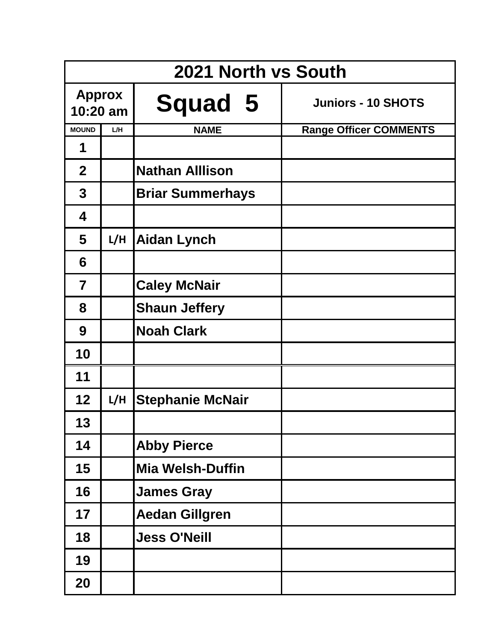|                             | 2021 North vs South |                         |                               |  |  |
|-----------------------------|---------------------|-------------------------|-------------------------------|--|--|
| <b>Approx</b><br>$10:20$ am |                     | <b>Squad 5</b>          | <b>Juniors - 10 SHOTS</b>     |  |  |
| <b>MOUND</b>                | L/H                 | <b>NAME</b>             | <b>Range Officer COMMENTS</b> |  |  |
| 1                           |                     |                         |                               |  |  |
| $\overline{2}$              |                     | <b>Nathan Alllison</b>  |                               |  |  |
| $\mathbf{3}$                |                     | <b>Briar Summerhays</b> |                               |  |  |
| 4                           |                     |                         |                               |  |  |
| 5                           | L/H                 | <b>Aidan Lynch</b>      |                               |  |  |
| 6                           |                     |                         |                               |  |  |
| $\overline{7}$              |                     | <b>Caley McNair</b>     |                               |  |  |
| 8                           |                     | <b>Shaun Jeffery</b>    |                               |  |  |
| 9                           |                     | <b>Noah Clark</b>       |                               |  |  |
| 10                          |                     |                         |                               |  |  |
| 11                          |                     |                         |                               |  |  |
| 12                          | L/H                 | <b>Stephanie McNair</b> |                               |  |  |
| 13                          |                     |                         |                               |  |  |
| 14                          |                     | <b>Abby Pierce</b>      |                               |  |  |
| 15                          |                     | <b>Mia Welsh-Duffin</b> |                               |  |  |
| 16                          |                     | <b>James Gray</b>       |                               |  |  |
| 17                          |                     | <b>Aedan Gillgren</b>   |                               |  |  |
| 18                          |                     | <b>Jess O'Neill</b>     |                               |  |  |
| 19                          |                     |                         |                               |  |  |
| 20                          |                     |                         |                               |  |  |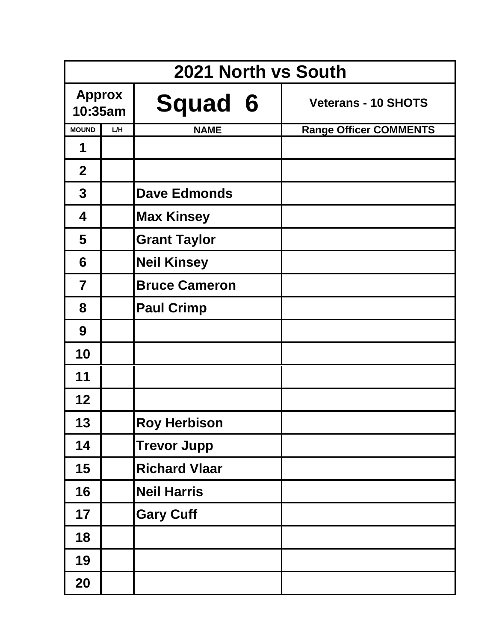|                          | 2021 North vs South |                      |                               |  |  |  |
|--------------------------|---------------------|----------------------|-------------------------------|--|--|--|
| <b>Approx</b><br>10:35am |                     | <b>Squad 6</b>       | <b>Veterans - 10 SHOTS</b>    |  |  |  |
| <b>MOUND</b>             | L/H                 | <b>NAME</b>          | <b>Range Officer COMMENTS</b> |  |  |  |
| 1                        |                     |                      |                               |  |  |  |
| $\overline{2}$           |                     |                      |                               |  |  |  |
| $\mathbf{3}$             |                     | <b>Dave Edmonds</b>  |                               |  |  |  |
| 4                        |                     | <b>Max Kinsey</b>    |                               |  |  |  |
| 5                        |                     | <b>Grant Taylor</b>  |                               |  |  |  |
| 6                        |                     | <b>Neil Kinsey</b>   |                               |  |  |  |
| $\overline{7}$           |                     | <b>Bruce Cameron</b> |                               |  |  |  |
| 8                        |                     | <b>Paul Crimp</b>    |                               |  |  |  |
| 9                        |                     |                      |                               |  |  |  |
| 10                       |                     |                      |                               |  |  |  |
| 11                       |                     |                      |                               |  |  |  |
| 12                       |                     |                      |                               |  |  |  |
| 13                       |                     | <b>Roy Herbison</b>  |                               |  |  |  |
| 14                       |                     | <b>Trevor Jupp</b>   |                               |  |  |  |
| 15                       |                     | <b>Richard Vlaar</b> |                               |  |  |  |
| 16                       |                     | <b>Neil Harris</b>   |                               |  |  |  |
| 17                       |                     | <b>Gary Cuff</b>     |                               |  |  |  |
| 18                       |                     |                      |                               |  |  |  |
| 19                       |                     |                      |                               |  |  |  |
| 20                       |                     |                      |                               |  |  |  |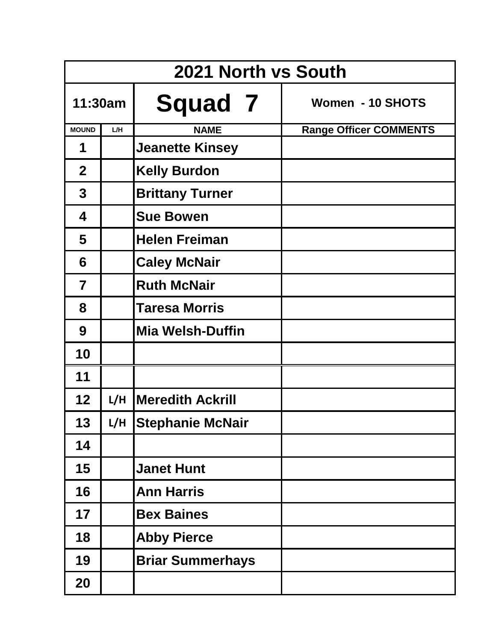|                |     | 2021 North vs South     |                               |
|----------------|-----|-------------------------|-------------------------------|
| 11:30am        |     | <b>Squad 7</b>          | Women - 10 SHOTS              |
| <b>MOUND</b>   | L/H | <b>NAME</b>             | <b>Range Officer COMMENTS</b> |
| 1              |     | <b>Jeanette Kinsey</b>  |                               |
| $\overline{2}$ |     | <b>Kelly Burdon</b>     |                               |
| 3              |     | <b>Brittany Turner</b>  |                               |
| 4              |     | <b>Sue Bowen</b>        |                               |
| 5              |     | <b>Helen Freiman</b>    |                               |
| 6              |     | <b>Caley McNair</b>     |                               |
| $\overline{7}$ |     | <b>Ruth McNair</b>      |                               |
| 8              |     | <b>Taresa Morris</b>    |                               |
| 9              |     | <b>Mia Welsh-Duffin</b> |                               |
| 10             |     |                         |                               |
| 11             |     |                         |                               |
| 12             | L/H | <b>Meredith Ackrill</b> |                               |
| 13             |     | L/H Stephanie McNair    |                               |
| 14             |     |                         |                               |
| 15             |     | <b>Janet Hunt</b>       |                               |
| 16             |     | <b>Ann Harris</b>       |                               |
| 17             |     | <b>Bex Baines</b>       |                               |
| 18             |     | <b>Abby Pierce</b>      |                               |
| 19             |     | <b>Briar Summerhays</b> |                               |
| 20             |     |                         |                               |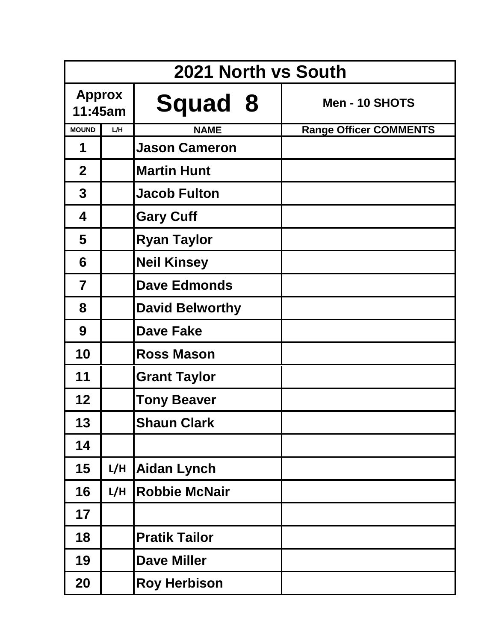|                          | 2021 North vs South |                        |                               |  |  |  |
|--------------------------|---------------------|------------------------|-------------------------------|--|--|--|
| <b>Approx</b><br>11:45am |                     | <b>Squad 8</b>         | Men - 10 SHOTS                |  |  |  |
| <b>MOUND</b>             | L/H                 | <b>NAME</b>            | <b>Range Officer COMMENTS</b> |  |  |  |
| 1                        |                     | <b>Jason Cameron</b>   |                               |  |  |  |
| $\overline{2}$           |                     | <b>Martin Hunt</b>     |                               |  |  |  |
| $\mathbf 3$              |                     | <b>Jacob Fulton</b>    |                               |  |  |  |
| 4                        |                     | <b>Gary Cuff</b>       |                               |  |  |  |
| 5                        |                     | <b>Ryan Taylor</b>     |                               |  |  |  |
| 6                        |                     | <b>Neil Kinsey</b>     |                               |  |  |  |
| $\overline{7}$           |                     | <b>Dave Edmonds</b>    |                               |  |  |  |
| 8                        |                     | <b>David Belworthy</b> |                               |  |  |  |
| 9                        |                     | <b>Dave Fake</b>       |                               |  |  |  |
| 10                       |                     | <b>Ross Mason</b>      |                               |  |  |  |
| 11                       |                     | <b>Grant Taylor</b>    |                               |  |  |  |
| 12                       |                     | <b>Tony Beaver</b>     |                               |  |  |  |
| 13                       |                     | <b>Shaun Clark</b>     |                               |  |  |  |
| 14                       |                     |                        |                               |  |  |  |
| 15                       | L/H                 | <b>Aidan Lynch</b>     |                               |  |  |  |
| 16                       | L/H                 | <b>Robbie McNair</b>   |                               |  |  |  |
| 17                       |                     |                        |                               |  |  |  |
| 18                       |                     | <b>Pratik Tailor</b>   |                               |  |  |  |
| 19                       |                     | <b>Dave Miller</b>     |                               |  |  |  |
| 20                       |                     | <b>Roy Herbison</b>    |                               |  |  |  |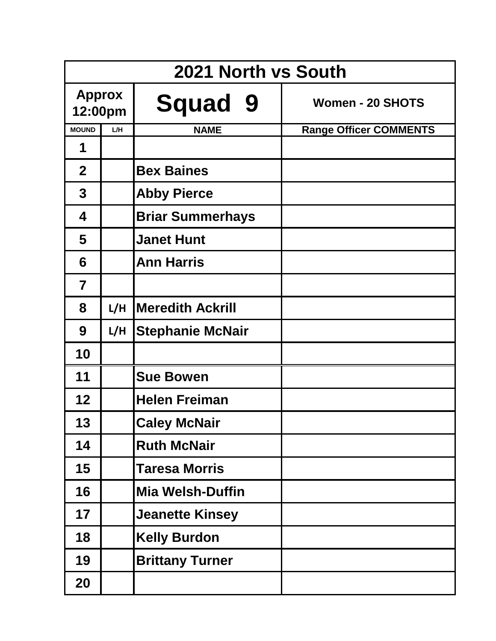|                          |     | 2021 North vs South     |                               |
|--------------------------|-----|-------------------------|-------------------------------|
| <b>Approx</b><br>12:00pm |     | <b>Squad 9</b>          | <b>Women - 20 SHOTS</b>       |
| <b>MOUND</b>             | L/H | <b>NAME</b>             | <b>Range Officer COMMENTS</b> |
| 1                        |     |                         |                               |
| $\overline{2}$           |     | <b>Bex Baines</b>       |                               |
| 3                        |     | <b>Abby Pierce</b>      |                               |
| 4                        |     | <b>Briar Summerhays</b> |                               |
| 5                        |     | <b>Janet Hunt</b>       |                               |
| 6                        |     | <b>Ann Harris</b>       |                               |
| $\overline{7}$           |     |                         |                               |
| 8                        | L/H | <b>Meredith Ackrill</b> |                               |
| 9                        | L/H | <b>Stephanie McNair</b> |                               |
| 10                       |     |                         |                               |
| 11                       |     | <b>Sue Bowen</b>        |                               |
| 12                       |     | <b>Helen Freiman</b>    |                               |
| 13                       |     | <b>Caley McNair</b>     |                               |
| 14                       |     | <b>Ruth McNair</b>      |                               |
| 15                       |     | <b>Taresa Morris</b>    |                               |
| 16                       |     | <b>Mia Welsh-Duffin</b> |                               |
| 17                       |     | <b>Jeanette Kinsey</b>  |                               |
| 18                       |     | <b>Kelly Burdon</b>     |                               |
| 19                       |     | <b>Brittany Turner</b>  |                               |
| 20                       |     |                         |                               |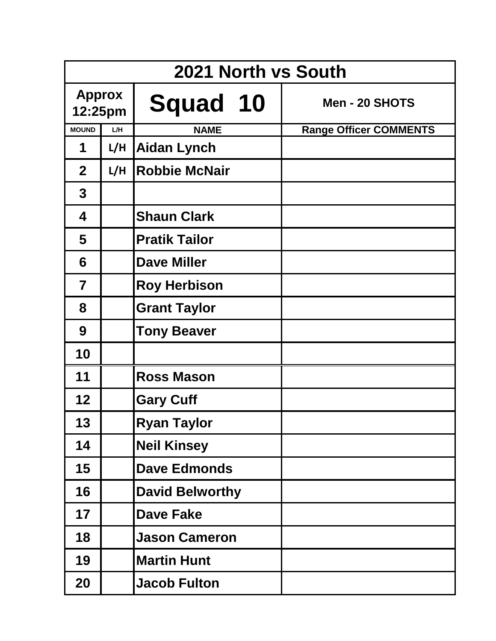|                          | 2021 North vs South |                        |  |                               |  |
|--------------------------|---------------------|------------------------|--|-------------------------------|--|
| <b>Approx</b><br>12:25pm |                     | Squad 10               |  | Men - 20 SHOTS                |  |
| <b>MOUND</b>             | L/H                 | <b>NAME</b>            |  | <b>Range Officer COMMENTS</b> |  |
| 1                        | L/H                 | <b>Aidan Lynch</b>     |  |                               |  |
| $\overline{2}$           | L/H                 | <b>Robbie McNair</b>   |  |                               |  |
| $\mathbf{3}$             |                     |                        |  |                               |  |
| 4                        |                     | <b>Shaun Clark</b>     |  |                               |  |
| 5                        |                     | <b>Pratik Tailor</b>   |  |                               |  |
| 6                        |                     | <b>Dave Miller</b>     |  |                               |  |
| $\overline{\mathbf{7}}$  |                     | <b>Roy Herbison</b>    |  |                               |  |
| 8                        |                     | <b>Grant Taylor</b>    |  |                               |  |
| 9                        |                     | <b>Tony Beaver</b>     |  |                               |  |
| 10                       |                     |                        |  |                               |  |
| 11                       |                     | <b>Ross Mason</b>      |  |                               |  |
| 12                       |                     | <b>Gary Cuff</b>       |  |                               |  |
| 13                       |                     | <b>Ryan Taylor</b>     |  |                               |  |
| 14                       |                     | <b>Neil Kinsey</b>     |  |                               |  |
| 15                       |                     | <b>Dave Edmonds</b>    |  |                               |  |
| 16                       |                     | <b>David Belworthy</b> |  |                               |  |
| 17                       |                     | <b>Dave Fake</b>       |  |                               |  |
| 18                       |                     | <b>Jason Cameron</b>   |  |                               |  |
| 19                       |                     | <b>Martin Hunt</b>     |  |                               |  |
| 20                       |                     | <b>Jacob Fulton</b>    |  |                               |  |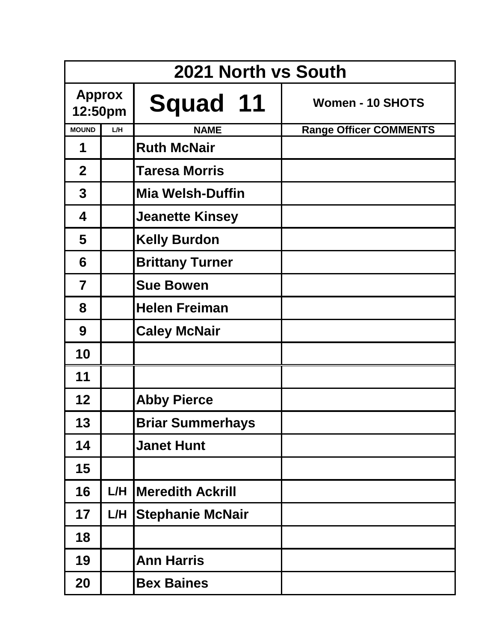|                          |     | 2021 North vs South     |                               |
|--------------------------|-----|-------------------------|-------------------------------|
| <b>Approx</b><br>12:50pm |     | <b>Squad 11</b>         | <b>Women - 10 SHOTS</b>       |
| <b>MOUND</b>             | L/H | <b>NAME</b>             | <b>Range Officer COMMENTS</b> |
| 1                        |     | <b>Ruth McNair</b>      |                               |
| $\mathbf 2$              |     | <b>Taresa Morris</b>    |                               |
| $\mathbf 3$              |     | <b>Mia Welsh-Duffin</b> |                               |
| 4                        |     | <b>Jeanette Kinsey</b>  |                               |
| 5                        |     | <b>Kelly Burdon</b>     |                               |
| 6                        |     | <b>Brittany Turner</b>  |                               |
| $\overline{7}$           |     | <b>Sue Bowen</b>        |                               |
| 8                        |     | <b>Helen Freiman</b>    |                               |
| 9                        |     | <b>Caley McNair</b>     |                               |
| 10                       |     |                         |                               |
| 11                       |     |                         |                               |
| 12                       |     | <b>Abby Pierce</b>      |                               |
| 13                       |     | <b>Briar Summerhays</b> |                               |
| 14                       |     | <b>Janet Hunt</b>       |                               |
| 15                       |     |                         |                               |
| 16                       | L/H | <b>Meredith Ackrill</b> |                               |
| 17                       | L/H | <b>Stephanie McNair</b> |                               |
| 18                       |     |                         |                               |
| 19                       |     | <b>Ann Harris</b>       |                               |
| 20                       |     | <b>Bex Baines</b>       |                               |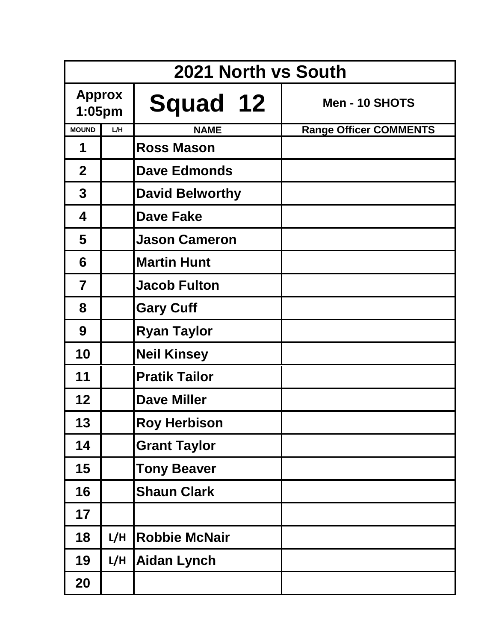|                         | 2021 North vs South |                        |                               |  |  |
|-------------------------|---------------------|------------------------|-------------------------------|--|--|
| <b>Approx</b><br>1:05pm |                     | Squad 12               | Men - 10 SHOTS                |  |  |
| <b>MOUND</b>            | L/H                 | <b>NAME</b>            | <b>Range Officer COMMENTS</b> |  |  |
| 1                       |                     | <b>Ross Mason</b>      |                               |  |  |
| $\overline{2}$          |                     | <b>Dave Edmonds</b>    |                               |  |  |
| $\mathbf 3$             |                     | <b>David Belworthy</b> |                               |  |  |
| 4                       |                     | <b>Dave Fake</b>       |                               |  |  |
| 5                       |                     | <b>Jason Cameron</b>   |                               |  |  |
| 6                       |                     | <b>Martin Hunt</b>     |                               |  |  |
| $\overline{\mathbf{7}}$ |                     | <b>Jacob Fulton</b>    |                               |  |  |
| 8                       |                     | <b>Gary Cuff</b>       |                               |  |  |
| 9                       |                     | <b>Ryan Taylor</b>     |                               |  |  |
| 10                      |                     | <b>Neil Kinsey</b>     |                               |  |  |
| 11                      |                     | <b>Pratik Tailor</b>   |                               |  |  |
| 12                      |                     | <b>Dave Miller</b>     |                               |  |  |
| 13                      |                     | <b>Roy Herbison</b>    |                               |  |  |
| 14                      |                     | <b>Grant Taylor</b>    |                               |  |  |
| 15                      |                     | <b>Tony Beaver</b>     |                               |  |  |
| 16                      |                     | <b>Shaun Clark</b>     |                               |  |  |
| 17                      |                     |                        |                               |  |  |
| 18                      | L/H                 | <b>Robbie McNair</b>   |                               |  |  |
| 19                      | L/H                 | <b>Aidan Lynch</b>     |                               |  |  |
| 20                      |                     |                        |                               |  |  |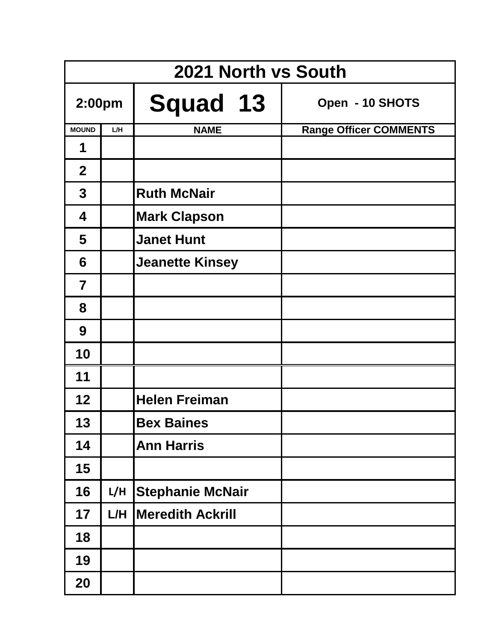| 2021 North vs South     |     |                         |                               |
|-------------------------|-----|-------------------------|-------------------------------|
| 2:00pm                  |     | <b>Squad 13</b>         | Open - 10 SHOTS               |
| <b>MOUND</b>            | L/H | <b>NAME</b>             | <b>Range Officer COMMENTS</b> |
| 1                       |     |                         |                               |
| $\overline{2}$          |     |                         |                               |
| $\mathbf 3$             |     | <b>Ruth McNair</b>      |                               |
| 4                       |     | <b>Mark Clapson</b>     |                               |
| 5                       |     | <b>Janet Hunt</b>       |                               |
| 6                       |     | <b>Jeanette Kinsey</b>  |                               |
| $\overline{\mathbf{7}}$ |     |                         |                               |
| 8                       |     |                         |                               |
| 9                       |     |                         |                               |
| 10                      |     |                         |                               |
| 11                      |     |                         |                               |
| 12                      |     | <b>Helen Freiman</b>    |                               |
| 13                      |     | <b>Bex Baines</b>       |                               |
| 14                      |     | <b>Ann Harris</b>       |                               |
| 15                      |     |                         |                               |
| 16                      | L/H | <b>Stephanie McNair</b> |                               |
| 17                      | L/H | <b>Meredith Ackrill</b> |                               |
| 18                      |     |                         |                               |
| 19                      |     |                         |                               |
| 20                      |     |                         |                               |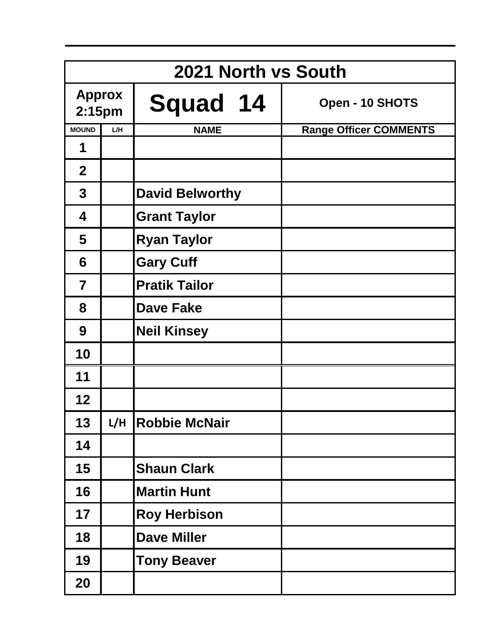| 2021 North vs South                 |     |                        |                               |
|-------------------------------------|-----|------------------------|-------------------------------|
| <b>Approx</b><br>2:15 <sub>pm</sub> |     | <b>Squad 14</b>        | Open - 10 SHOTS               |
| <b>MOUND</b>                        | L/H | <b>NAME</b>            | <b>Range Officer COMMENTS</b> |
| 1                                   |     |                        |                               |
| 2 <sup>1</sup>                      |     |                        |                               |
| 3                                   |     | <b>David Belworthy</b> |                               |
| 4                                   |     | <b>Grant Taylor</b>    |                               |
| 5                                   |     | <b>Ryan Taylor</b>     |                               |
| 6                                   |     | <b>Gary Cuff</b>       |                               |
| $\overline{\mathbf{7}}$             |     | <b>Pratik Tailor</b>   |                               |
| 8                                   |     | <b>Dave Fake</b>       |                               |
| 9                                   |     | <b>Neil Kinsey</b>     |                               |
| 10                                  |     |                        |                               |
| 11                                  |     |                        |                               |
| 12                                  |     |                        |                               |
| 13                                  | L/H | <b>Robbie McNair</b>   |                               |
| 14                                  |     |                        |                               |
| 15                                  |     | <b>Shaun Clark</b>     |                               |
| 16                                  |     | <b>Martin Hunt</b>     |                               |
| 17                                  |     | <b>Roy Herbison</b>    |                               |
| 18                                  |     | <b>Dave Miller</b>     |                               |
| 19                                  |     | <b>Tony Beaver</b>     |                               |
| 20                                  |     |                        |                               |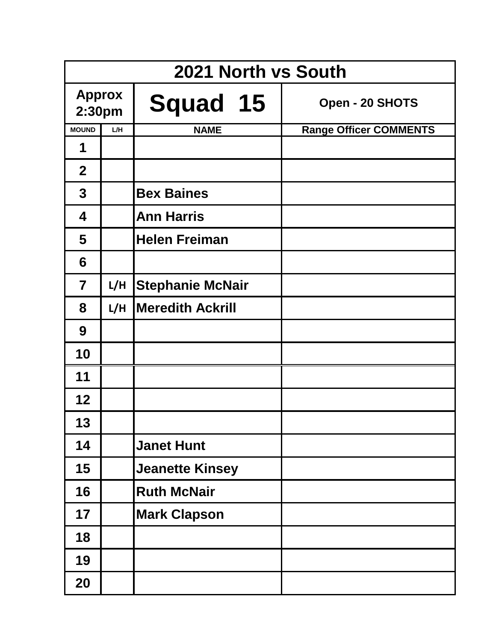| 2021 North vs South     |     |                         |                               |
|-------------------------|-----|-------------------------|-------------------------------|
| <b>Approx</b><br>2:30pm |     | Squad 15                | Open - 20 SHOTS               |
| <b>MOUND</b>            | L/H | <b>NAME</b>             | <b>Range Officer COMMENTS</b> |
| 1                       |     |                         |                               |
| $\overline{2}$          |     |                         |                               |
| $\mathbf 3$             |     | <b>Bex Baines</b>       |                               |
| 4                       |     | <b>Ann Harris</b>       |                               |
| 5                       |     | <b>Helen Freiman</b>    |                               |
| 6                       |     |                         |                               |
| $\overline{7}$          | L/H | <b>Stephanie McNair</b> |                               |
| 8                       | L/H | <b>Meredith Ackrill</b> |                               |
| 9                       |     |                         |                               |
| 10                      |     |                         |                               |
| 11                      |     |                         |                               |
| 12                      |     |                         |                               |
| 13                      |     |                         |                               |
| 14                      |     | <b>Janet Hunt</b>       |                               |
| 15                      |     | <b>Jeanette Kinsey</b>  |                               |
| 16                      |     | <b>Ruth McNair</b>      |                               |
| 17                      |     | <b>Mark Clapson</b>     |                               |
| 18                      |     |                         |                               |
| 19                      |     |                         |                               |
| 20                      |     |                         |                               |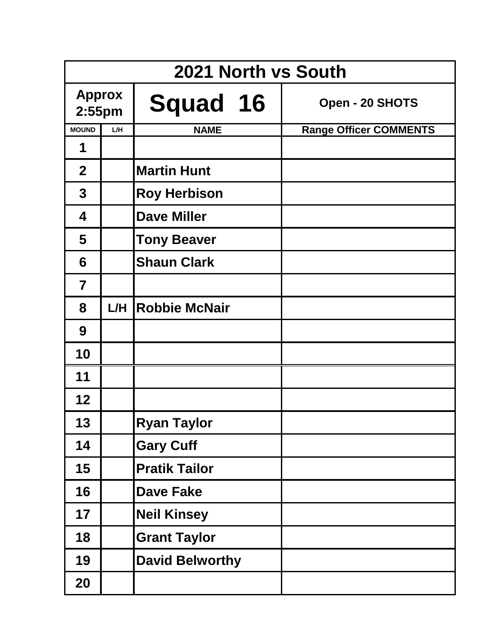| 2021 North vs South        |     |                        |  |                               |
|----------------------------|-----|------------------------|--|-------------------------------|
| <b>Approx</b><br>$2:55$ pm |     | Squad 16               |  | Open - 20 SHOTS               |
| <b>MOUND</b>               | L/H | <b>NAME</b>            |  | <b>Range Officer COMMENTS</b> |
| 1                          |     |                        |  |                               |
| $\overline{2}$             |     | <b>Martin Hunt</b>     |  |                               |
| $\mathbf{3}$               |     | <b>Roy Herbison</b>    |  |                               |
| 4                          |     | <b>Dave Miller</b>     |  |                               |
| 5                          |     | <b>Tony Beaver</b>     |  |                               |
| 6                          |     | <b>Shaun Clark</b>     |  |                               |
| $\overline{7}$             |     |                        |  |                               |
| 8                          | L/H | <b>Robbie McNair</b>   |  |                               |
| 9                          |     |                        |  |                               |
| 10                         |     |                        |  |                               |
| 11                         |     |                        |  |                               |
| 12                         |     |                        |  |                               |
| 13                         |     | <b>Ryan Taylor</b>     |  |                               |
| 14                         |     | <b>Gary Cuff</b>       |  |                               |
| 15                         |     | <b>Pratik Tailor</b>   |  |                               |
| 16                         |     | <b>Dave Fake</b>       |  |                               |
| 17                         |     | <b>Neil Kinsey</b>     |  |                               |
| 18                         |     | <b>Grant Taylor</b>    |  |                               |
| 19                         |     | <b>David Belworthy</b> |  |                               |
| 20                         |     |                        |  |                               |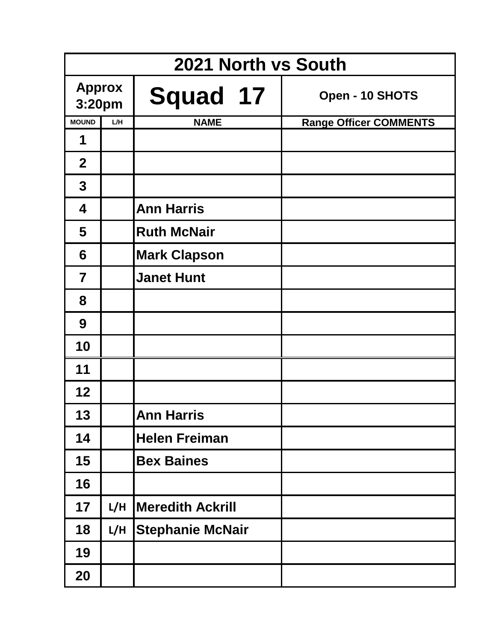| 2021 North vs South     |     |                         |                               |
|-------------------------|-----|-------------------------|-------------------------------|
| <b>Approx</b><br>3:20pm |     | <b>Squad 17</b>         | Open - 10 SHOTS               |
| <b>MOUND</b>            | L/H | <b>NAME</b>             | <b>Range Officer COMMENTS</b> |
| 1                       |     |                         |                               |
| $\overline{2}$          |     |                         |                               |
| $\mathbf 3$             |     |                         |                               |
| 4                       |     | <b>Ann Harris</b>       |                               |
| 5                       |     | <b>Ruth McNair</b>      |                               |
| 6                       |     | <b>Mark Clapson</b>     |                               |
| $\overline{7}$          |     | <b>Janet Hunt</b>       |                               |
| 8                       |     |                         |                               |
| 9                       |     |                         |                               |
| 10                      |     |                         |                               |
| 11                      |     |                         |                               |
| 12                      |     |                         |                               |
| 13                      |     | <b>Ann Harris</b>       |                               |
| 14                      |     | <b>Helen Freiman</b>    |                               |
| 15                      |     | <b>Bex Baines</b>       |                               |
| 16                      |     |                         |                               |
| 17                      | L/H | <b>Meredith Ackrill</b> |                               |
| 18                      | L/H | <b>Stephanie McNair</b> |                               |
| 19                      |     |                         |                               |
| 20                      |     |                         |                               |